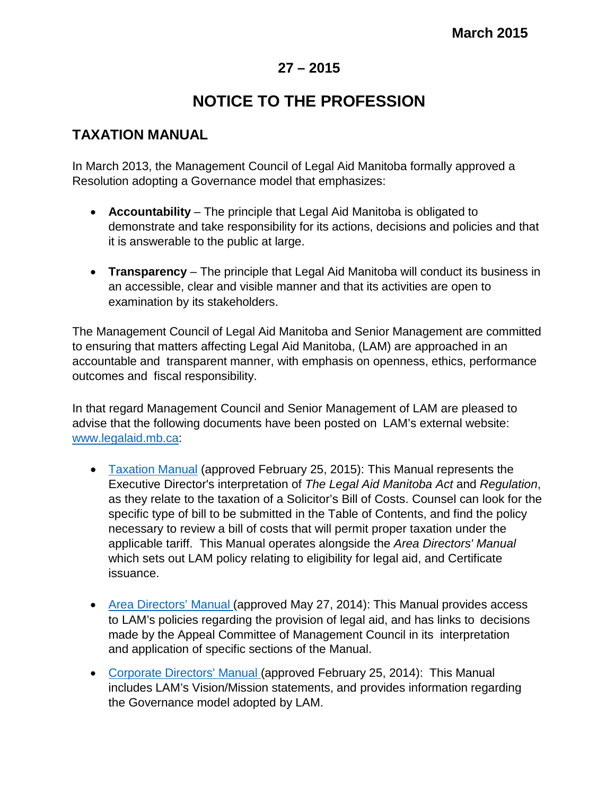## **27 – 2015**

## **NOTICE TO THE PROFESSION**

## **TAXATION MANUAL**

In March 2013, the Management Council of Legal Aid Manitoba formally approved a Resolution adopting a Governance model that emphasizes:

- **Accountability**  The principle that Legal Aid Manitoba is obligated to demonstrate and take responsibility for its actions, decisions and policies and that it is answerable to the public at large.
- **Transparency**  The principle that Legal Aid Manitoba will conduct its business in an accessible, clear and visible manner and that its activities are open to examination by its stakeholders.

The Management Council of Legal Aid Manitoba and Senior Management are committed to ensuring that matters affecting Legal Aid Manitoba, (LAM) are approached in an accountable and transparent manner, with emphasis on openness, ethics, performance outcomes and fiscal responsibility.

In that regard Management Council and Senior Management of LAM are pleased to advise that the following documents have been posted on LAM's external website: [www.legalaid.mb.ca:](http://www.legalaid.mb.ca/)

- [Taxation Manual](http://www.legalaid.mb.ca/pdf/Taxation_Manual.pdf) (approved February 25, 2015): This Manual represents the Executive Director's interpretation of *The Legal Aid Manitoba Act* and *Regulation*, as they relate to the taxation of a Solicitor's Bill of Costs. Counsel can look for the specific type of bill to be submitted in the Table of Contents, and find the policy necessary to review a bill of costs that will permit proper taxation under the applicable tariff. This Manual operates alongside the *Area Directors' Manual* which sets out LAM policy relating to eligibility for legal aid, and Certificate issuance.
- Area [Directors'](http://www.legalaid.mb.ca/pdf/ADM_EXTERNAL_May27_2014.pdf) Manual (approved May 27, 2014): This Manual provides access to LAM's policies regarding the provision of legal aid, and has links to decisions made by the Appeal Committee of Management Council in its interpretation and application of specific sections of the Manual.
- [Corporate Directors'](http://www.legalaid.mb.ca/pdf/Corporate%20Directors%20Manual%20%2825-02-2014%29.pdf) Manual (approved February 25, 2014): This Manual includes LAM's Vision/Mission statements, and provides information regarding the Governance model adopted by LAM.